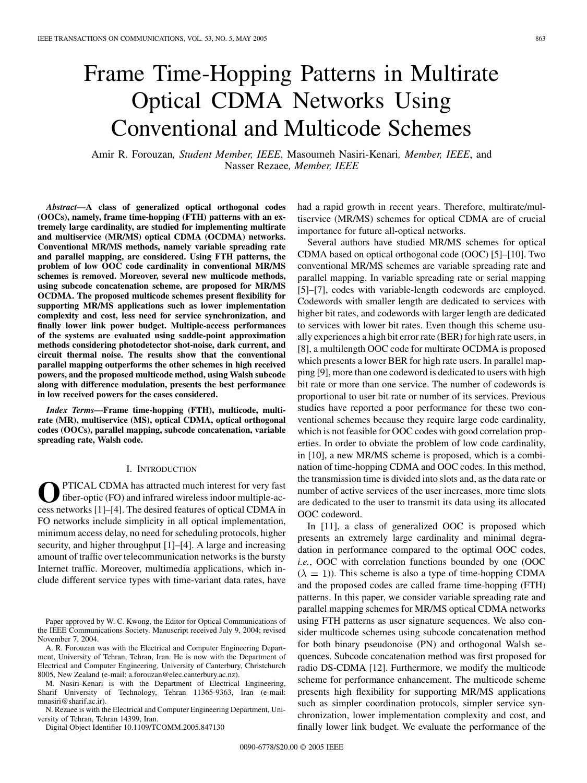# Frame Time-Hopping Patterns in Multirate Optical CDMA Networks Using Conventional and Multicode Schemes

Amir R. Forouzan*, Student Member, IEEE*, Masoumeh Nasiri-Kenari*, Member, IEEE*, and Nasser Rezaee*, Member, IEEE*

*Abstract—***A class of generalized optical orthogonal codes (OOCs), namely, frame time-hopping (FTH) patterns with an extremely large cardinality, are studied for implementing multirate and multiservice (MR/MS) optical CDMA (OCDMA) networks. Conventional MR/MS methods, namely variable spreading rate and parallel mapping, are considered. Using FTH patterns, the problem of low OOC code cardinality in conventional MR/MS schemes is removed. Moreover, several new multicode methods, using subcode concatenation scheme, are proposed for MR/MS OCDMA. The proposed multicode schemes present flexibility for supporting MR/MS applications such as lower implementation complexity and cost, less need for service synchronization, and finally lower link power budget. Multiple-access performances of the systems are evaluated using saddle-point approximation methods considering photodetector shot-noise, dark current, and circuit thermal noise. The results show that the conventional parallel mapping outperforms the other schemes in high received powers, and the proposed multicode method, using Walsh subcode along with difference modulation, presents the best performance in low received powers for the cases considered.**

*Index Terms—***Frame time-hopping (FTH), multicode, multirate (MR), multiservice (MS), optical CDMA, optical orthogonal codes (OOCs), parallel mapping, subcode concatenation, variable spreading rate, Walsh code.**

## I. INTRODUCTION

**O**PTICAL CDMA has attracted much interest for very fast fiber-optic (FO) and infrared wireless indoor multiple-access networks [[1\]](#page-11-0)–[\[4](#page-11-0)]. The desired features of optical CDMA in FO networks include simplicity in all optical implementation, minimum access delay, no need for scheduling protocols, higher security, and higher throughput [[1\]](#page-11-0)–[[4\]](#page-11-0). A large and increasing amount of traffic over telecommunication networks is the bursty Internet traffic. Moreover, multimedia applications, which include different service types with time-variant data rates, have

Paper approved by W. C. Kwong, the Editor for Optical Communications of the IEEE Communications Society. Manuscript received July 9, 2004; revised November 7, 2004.

A. R. Forouzan was with the Electrical and Computer Engineering Department, University of Tehran, Tehran, Iran. He is now with the Department of Electrical and Computer Engineering, University of Canterbury, Christchurch 8005, New Zealand (e-mail: a.forouzan@elec.canterbury.ac.nz).

M. Nasiri-Kenari is with the Department of Electrical Engineering, Sharif University of Technology, Tehran 11365-9363, Iran (e-mail: mnasiri@sharif.ac.ir).

N. Rezaee is with the Electrical and Computer Engineering Department, University of Tehran, Tehran 14399, Iran.

Digital Object Identifier 10.1109/TCOMM.2005.847130

had a rapid growth in recent years. Therefore, multirate/multiservice (MR/MS) schemes for optical CDMA are of crucial importance for future all-optical networks.

Several authors have studied MR/MS schemes for optical CDMA based on optical orthogonal code (OOC) [\[5](#page-11-0)]–[[10\]](#page-11-0). Two conventional MR/MS schemes are variable spreading rate and parallel mapping. In variable spreading rate or serial mapping [\[5](#page-11-0)]–[\[7](#page-11-0)], codes with variable-length codewords are employed. Codewords with smaller length are dedicated to services with higher bit rates, and codewords with larger length are dedicated to services with lower bit rates. Even though this scheme usually experiences a high bit error rate (BER) for high rate users, in [\[8](#page-11-0)], a multilength OOC code for multirate OCDMA is proposed which presents a lower BER for high rate users. In parallel mapping [[9\]](#page-11-0), more than one codeword is dedicated to users with high bit rate or more than one service. The number of codewords is proportional to user bit rate or number of its services. Previous studies have reported a poor performance for these two conventional schemes because they require large code cardinality, which is not feasible for OOC codes with good correlation properties. In order to obviate the problem of low code cardinality, in [\[10](#page-11-0)], a new MR/MS scheme is proposed, which is a combination of time-hopping CDMA and OOC codes. In this method, the transmission time is divided into slots and, as the data rate or number of active services of the user increases, more time slots are dedicated to the user to transmit its data using its allocated OOC codeword.

In [[11\]](#page-11-0), a class of generalized OOC is proposed which presents an extremely large cardinality and minimal degradation in performance compared to the optimal OOC codes, *i.e.*, OOC with correlation functions bounded by one (OOC  $(\lambda = 1)$ ). This scheme is also a type of time-hopping CDMA and the proposed codes are called frame time-hopping (FTH) patterns. In this paper, we consider variable spreading rate and parallel mapping schemes for MR/MS optical CDMA networks using FTH patterns as user signature sequences. We also consider multicode schemes using subcode concatenation method for both binary pseudonoise (PN) and orthogonal Walsh sequences. Subcode concatenation method was first proposed for radio DS-CDMA [[12\]](#page-11-0). Furthermore, we modify the multicode scheme for performance enhancement. The multicode scheme presents high flexibility for supporting MR/MS applications such as simpler coordination protocols, simpler service synchronization, lower implementation complexity and cost, and finally lower link budget. We evaluate the performance of the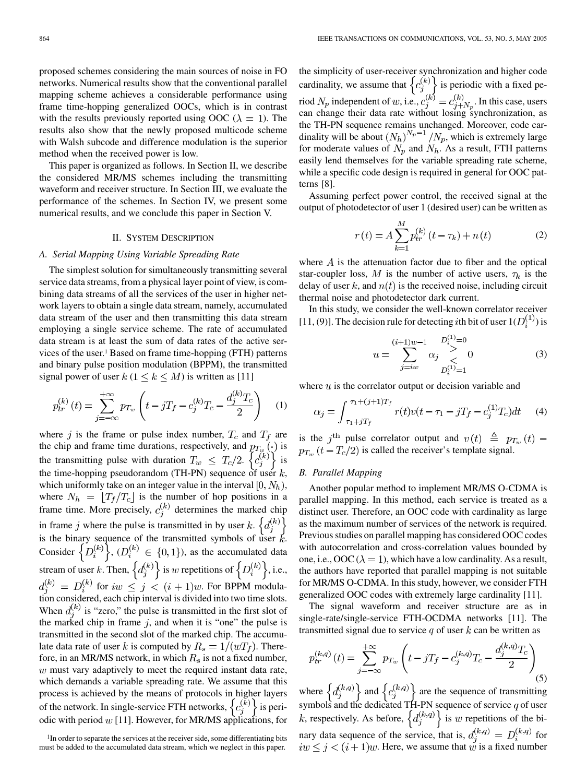proposed schemes considering the main sources of noise in FO networks. Numerical results show that the conventional parallel mapping scheme achieves a considerable performance using frame time-hopping generalized OOCs, which is in contrast with the results previously reported using OOC ( $\lambda = 1$ ). The results also show that the newly proposed multicode scheme with Walsh subcode and difference modulation is the superior method when the received power is low.

This paper is organized as follows. In Section II, we describe the considered MR/MS schemes including the transmitting waveform and receiver structure. In Section III, we evaluate the performance of the schemes. In Section IV, we present some numerical results, and we conclude this paper in Section V.

## II. SYSTEM DESCRIPTION

# *A. Serial Mapping Using Variable Spreading Rate*

The simplest solution for simultaneously transmitting several service data streams, from a physical layer point of view, is combining data streams of all the services of the user in higher network layers to obtain a single data stream, namely, accumulated data stream of the user and then transmitting this data stream employing a single service scheme. The rate of accumulated data stream is at least the sum of data rates of the active services of the user.1 Based on frame time-hopping (FTH) patterns and binary pulse position modulation (BPPM), the transmitted signal power of user  $k$  ( $1 \leq k \leq M$ ) is written as [\[11](#page-11-0)]

$$
p_{tr}^{(k)}(t) = \sum_{j=-\infty}^{+\infty} p_{T_w} \left( t - jT_f - c_j^{(k)} T_c - \frac{d_j^{(k)} T_c}{2} \right) \tag{1}
$$

where j is the frame or pulse index number,  $T_c$  and  $T_f$  are the chip and frame time durations, respectively, and  $p_{T_w}(\cdot)$  is the transmitting pulse with duration  $T_w \leq T_c/2$ .  $\{c_i^{(\kappa)}\}\$ is the time-hopping pseudorandom (TH-PN) sequence of user  $k$ , which uniformly take on an integer value in the interval  $[0, N_h)$ , where  $N_h = |T_f/T_c|$  is the number of hop positions in a frame time. More precisely,  $c_i^{(k)}$  determines the marked chip in frame  $j$  where the pulse is transmitted in by user  $k$ . is the binary sequence of the transmitted symbols of user  $k$ . Consider  $\{D_i^{(k)}\}, (D_i^{(k)} \in \{0,1\})$ , as the accumulated data stream of user k. Then,  ${d_j^{(k)}}$  is w repetitions of  ${D_i^{(k)}}$ , i.e., for  $iw \leq j \lt (i+1)w$ . For BPPM modulation considered, each chip interval is divided into two time slots. When  $d_j^{(k)}$  is "zero," the pulse is transmitted in the first slot of the marked chip in frame  $j$ , and when it is "one" the pulse is transmitted in the second slot of the marked chip. The accumulate data rate of user k is computed by  $R_s = 1/(wT_f)$ . Therefore, in an MR/MS network, in which  $R_s$  is not a fixed number,  $w$  must vary adaptively to meet the required instant data rate, which demands a variable spreading rate. We assume that this process is achieved by the means of protocols in higher layers of the network. In single-service FTH networks,  $\{c_i^{(k)}\}\$ is periodic with period  $w$  [\[11](#page-11-0)]. However, for MR/MS applications, for

the simplicity of user-receiver synchronization and higher code cardinality, we assume that  $\langle c_i^{(k)} \rangle$  is periodic with a fixed period  $N_p$  independent of w, i.e.,  $c_j^{(k)} = c_{i+N_p}^{(k)}$ . In this case, users can change their data rate without losing synchronization, as the TH-PN sequence remains unchanged. Moreover, code cardinality will be about  $(N_h)^{N_p-1}/N_p$ , which is extremely large for moderate values of  $N_p$  and  $N_h$ . As a result, FTH patterns easily lend themselves for the variable spreading rate scheme, while a specific code design is required in general for OOC patterns [\[8](#page-11-0)].

Assuming perfect power control, the received signal at the output of photodetector of user 1 (desired user) can be written as

$$
r(t) = A \sum_{k=1}^{M} p_{tr}^{(k)}(t - \tau_k) + n(t)
$$
 (2)

where  $\vec{A}$  is the attenuation factor due to fiber and the optical star-coupler loss, M is the number of active users,  $\tau_k$  is the delay of user  $k$ , and  $n(t)$  is the received noise, including circuit thermal noise and photodetector dark current.

In this study, we consider the well-known correlator receiver [[11,](#page-11-0) (9)]. The decision rule for detecting *i*th bit of user  $1(D_i^{(1)})$  is

$$
u = \sum_{j=iw}^{(i+1)w-1} \alpha_j \sum_{\substack{i=1\\n \geq 0\\D_i^{(i)}=1}}^{D_i^{(i)}=0} 0
$$
 (3)

where  $u$  is the correlator output or decision variable and

$$
\alpha_j = \int_{\tau_1 + jT_f}^{\tau_1 + (j+1)T_f} r(t)v(t - \tau_1 - jT_f - c_j^{(1)}T_c)dt \tag{4}
$$

is the  $j<sup>th</sup>$  pulse correlator output and is called the receiver's template signal.

# *B. Parallel Mapping*

Another popular method to implement MR/MS O-CDMA is parallel mapping. In this method, each service is treated as a distinct user. Therefore, an OOC code with cardinality as large as the maximum number of services of the network is required. Previous studies on parallel mapping has considered OOC codes with autocorrelation and cross-correlation values bounded by one, i.e., OOC ( $\lambda = 1$ ), which have a low cardinality. As a result, the authors have reported that parallel mapping is not suitable for MR/MS O-CDMA. In this study, however, we consider FTH generalized OOC codes with extremely large cardinality [[11\]](#page-11-0).

The signal waveform and receiver structure are as in single-rate/single-service FTH-OCDMA networks [\[11](#page-11-0)]. The transmitted signal due to service  $q$  of user  $k$  can be written as

$$
p_{tr}^{(k,q)}(t) = \sum_{j=-\infty}^{+\infty} p_{T_w} \left( t - jT_f - c_j^{(k,q)} T_c - \frac{d_j^{(k,q)} T_c}{2} \right)
$$
(5)

where  $\{d_i^{(\kappa,q)}\}\$  and  $\{c_i^{(\kappa,q)}\}\$  are the sequence of transmitting symbols and the dedicated TH-PN sequence of service  $q$  of user , respectively. As before,  $\{d_i^{(\kappa,q)}\}\$ is w repetitions of the binary data sequence of the service, that is,  $d_j^{(k,q)} = D_i^{(k,q)}$  for  $iw \leq j < (i+1)w$ . Here, we assume that w is a fixed number

<sup>&</sup>lt;sup>1</sup>In order to separate the services at the receiver side, some differentiating bits must be added to the accumulated data stream, which we neglect in this paper.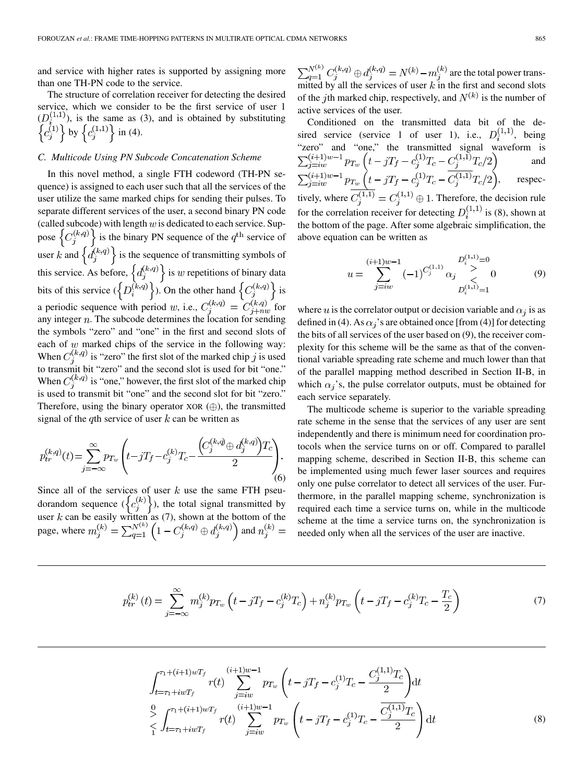and service with higher rates is supported by assigning more than one TH-PN code to the service.

The structure of correlation receiver for detecting the desired service, which we consider to be the first service of user 1  $(D_i^{(1,1)})$ , is the same as (3), and is obtained by substituting  $\left\{c_j^{(1)}\right\}$  by  $\left\{c_j^{(1,1)}\right\}$  in (4).

# *C. Multicode Using PN Subcode Concatenation Scheme*

In this novel method, a single FTH codeword (TH-PN sequence) is assigned to each user such that all the services of the user utilize the same marked chips for sending their pulses. To separate different services of the user, a second binary PN code (called subcode) with length  $w$  is dedicated to each service. Suppose  $\left\{C_i^{(k,q)}\right\}$  is the binary PN sequence of the  $q^{\text{th}}$  service of user k and  $\left\{d_j^{(k,q)}\right\}$  is the sequence of transmitting symbols of this service. As before,  $\{d_i^{(\kappa, q)}\}\$ is w repetitions of binary data bits of this service  $\langle D_i^{(\kappa,q)} \rangle$ ). On the other hand  $\langle C_i^{(\kappa,q)} \rangle$  is a periodic sequence with period w, i.e.,  $C_i^{(\kappa,q)} = C_{i+nw}^{(\kappa,q)}$  for any integer  $n$ . The subcode determines the location for sending the symbols "zero" and "one" in the first and second slots of each of  $w$  marked chips of the service in the following way: When  $C_i^{(k,q)}$  is "zero" the first slot of the marked chip j is used to transmit bit "zero" and the second slot is used for bit "one." When  $C_i^{(k,q)}$  is "one," however, the first slot of the marked chip is used to transmit bit "one" and the second slot for bit "zero." Therefore, using the binary operator XOR  $(\oplus)$ , the transmitted signal of the q<sup>th</sup> service of user  $k$  can be written as

$$
p_{tr}^{(k,q)}(t) = \sum_{j=-\infty}^{\infty} p_{T_w} \left( t - jT_f - c_j^{(k)} T_c - \frac{\left( C_j^{(k,q)} \oplus d_j^{(k,q)} \right) T_c}{2} \right).
$$
(6)

Since all of the services of user  $k$  use the same FTH pseudorandom sequence  $({c_i^k}'\rangle)$ , the total signal transmitted by user  $k$  can be easily written as (7), shown at the bottom of the page, where  $m_i^{(\kappa)} = \sum_{q=1}^{N} (1 - C_i^{(\kappa,q)} \oplus d_i^{(\kappa,q)})$  and

are the total power transmitted by all the services of user  $k$  in the first and second slots of the jth marked chip, respectively, and  $N^{(k)}$  is the number of active services of the user.

Conditioned on the transmitted data bit of the desired service (service 1 of user 1), i.e.,  $D_i^{(1,1)}$ , being "zero" and "one," the transmitted signal waveform is and , respectively, where  $\overrightarrow{C_j^{(1,1)}} = C_j^{(1,1)} \oplus 1$ . Therefore, the decision rule for the correlation receiver for detecting  $D_i^{(1,1)}$  is (8), shown at the bottom of the page. After some algebraic simplification, the above equation can be written as

$$
u = \sum_{j=iw}^{(i+1)w-1} (-1)^{C_j^{(1,1)}} \alpha_j \sum_{\substack{0 \le i,j \\ D_i^{(1,1)} = 1}}^{D_i^{(1,1)} = 0} 0 \tag{9}
$$

where u is the correlator output or decision variable and  $\alpha_i$  is as defined in (4). As  $\alpha_i$ 's are obtained once [from (4)] for detecting the bits of all services of the user based on (9), the receiver complexity for this scheme will be the same as that of the conventional variable spreading rate scheme and much lower than that of the parallel mapping method described in Section II-B, in which  $\alpha_i$ 's, the pulse correlator outputs, must be obtained for each service separately.

The multicode scheme is superior to the variable spreading rate scheme in the sense that the services of any user are sent independently and there is minimum need for coordination protocols when the service turns on or off. Compared to parallel mapping scheme, described in Section II-B, this scheme can be implemented using much fewer laser sources and requires only one pulse correlator to detect all services of the user. Furthermore, in the parallel mapping scheme, synchronization is required each time a service turns on, while in the multicode scheme at the time a service turns on, the synchronization is needed only when all the services of the user are inactive.

$$
p_{tr}^{(k)}(t) = \sum_{j=-\infty}^{\infty} m_j^{(k)} p_{T_w} \left( t - jT_f - c_j^{(k)} T_c \right) + n_j^{(k)} p_{T_w} \left( t - jT_f - c_j^{(k)} T_c - \frac{T_c}{2} \right)
$$
(7)

$$
\int_{t=\tau_1+iwT_f}^{\tau_1+(i+1)wT_f} r(t) \sum_{j=iw}^{(i+1)w-1} p_{T_w} \left( t - jT_f - c_j^{(1)}T_c - \frac{C_j^{(1,1)}T_c}{2} \right) dt
$$
\n
$$
\sum_{i=1}^{9} \int_{t=\tau_1+iwT_f}^{\tau_1+(i+1)wT_f} r(t) \sum_{j=iw}^{(i+1)w-1} p_{T_w} \left( t - jT_f - c_j^{(1)}T_c - \frac{C_j^{(1,1)}T_c}{2} \right) dt
$$
\n(8)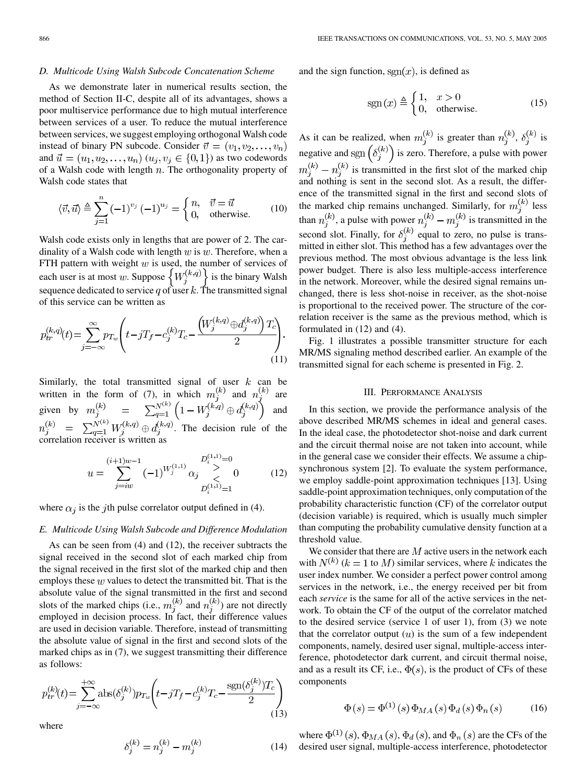## *D. Multicode Using Walsh Subcode Concatenation Scheme*

As we demonstrate later in numerical results section, the method of Section II-C, despite all of its advantages, shows a poor multiservice performance due to high mutual interference between services of a user. To reduce the mutual interference between services, we suggest employing orthogonal Walsh code instead of binary PN subcode. Consider  $\vec{v} = (v_1, v_2, \dots, v_n)$ and  $\vec{u} = (u_1, u_2, \dots, u_n)$   $(u_i, v_j \in \{0, 1\})$  as two codewords of a Walsh code with length  $n$ . The orthogonality property of Walsh code states that

$$
\langle \vec{v}, \vec{u} \rangle \triangleq \sum_{j=1}^{n} (-1)^{v_j} (-1)^{u_j} = \begin{cases} n, & \vec{v} = \vec{u} \\ 0, & \text{otherwise.} \end{cases}
$$
 (10)

Walsh code exists only in lengths that are power of 2. The cardinality of a Walsh code with length  $w$  is  $w$ . Therefore, when a FTH pattern with weight  $w$  is used, the number of services of each user is at most w. Suppose  $\left\{W_j^{(k,q)}\right\}$  is the binary Walsh sequence dedicated to service q of user k. The transmitted signal of this service can be written as

$$
p_{tr}^{(k,q)}(t) = \sum_{j=-\infty}^{\infty} p_{T_w} \left( t - jT_f - c_j^{(k)} T_c - \frac{\left( W_j^{(k,q)} \oplus d_j^{(k,q)} \right) T_c}{2} \right). \tag{11}
$$

Similarly, the total transmitted signal of user  $k$  can be written in the form of (7), in which  $m_i^{(k)}$  and  $n_i^{(k)}$  are given by  $m_i^{(k)} = \sum_{q=1}^{N_{\text{max}}}{1-W_i^{(k,q)} \oplus d_i^{(k,q)}}$  and . The decision rule of the correlation receiver is written as

$$
u = \sum_{j=iw}^{(i+1)w-1} (-1)^{W_j^{(1,1)}} \alpha_j \sum_{\substack{\text{odd} \\ D_i^{(1,1)} = 1}}^{D_i^{(1,1)} = 0} 0 \tag{12}
$$

where  $\alpha_i$  is the *j*th pulse correlator output defined in (4).

#### *E. Multicode Using Walsh Subcode and Difference Modulation*

As can be seen from (4) and (12), the receiver subtracts the signal received in the second slot of each marked chip from the signal received in the first slot of the marked chip and then employs these  $w$  values to detect the transmitted bit. That is the absolute value of the signal transmitted in the first and second slots of the marked chips (i.e.,  $m_j^{(k)}$  and  $n_j^{(k)}$ ) are not directly employed in decision process. In fact, their difference values are used in decision variable. Therefore, instead of transmitting the absolute value of signal in the first and second slots of the marked chips as in (7), we suggest transmitting their difference as follows:

$$
p_{tr}^{(k)}(t) = \sum_{j=-\infty}^{+\infty} \text{abs}(\delta_j^{(k)}) p_{T_w} \left( t - jT_f - c_j^{(k)} T_c - \frac{\text{sgn}(\delta_j^{(k)}) T_c}{2} \right)
$$
\n(13)

where

$$
\delta_j^{(k)} = n_j^{(k)} - m_j^{(k)} \tag{14}
$$

and the sign function,  $sgn(x)$ , is defined as

$$
sgn(x) \triangleq \begin{cases} 1, & x > 0 \\ 0, & \text{otherwise.} \end{cases}
$$
 (15)

As it can be realized, when  $m_j^{(k)}$  is greater than  $n_j^{(k)}$ ,  $\delta_j^{(k)}$  is negative and sgn  $(\delta_j^{(k)})$  is zero. Therefore, a pulse with power  $m_i^{(k)} - n_j^{(k)}$  is transmitted in the first slot of the marked chip and nothing is sent in the second slot. As a result, the difference of the transmitted signal in the first and second slots of the marked chip remains unchanged. Similarly, for  $m_i^{(k)}$  less than  $n_i^{(k)}$ , a pulse with power  $n_i^{(k)} - m_i^{(k)}$  is transmitted in the second slot. Finally, for  $\delta_i^{(k)}$  equal to zero, no pulse is transmitted in either slot. This method has a few advantages over the previous method. The most obvious advantage is the less link power budget. There is also less multiple-access interference in the network. Moreover, while the desired signal remains unchanged, there is less shot-noise in receiver, as the shot-noise is proportional to the received power. The structure of the correlation receiver is the same as the previous method, which is formulated in (12) and (4).

Fig. 1 illustrates a possible transmitter structure for each MR/MS signaling method described earlier. An example of the transmitted signal for each scheme is presented in Fig. 2.

# III. PERFORMANCE ANALYSIS

In this section, we provide the performance analysis of the above described MR/MS schemes in ideal and general cases. In the ideal case, the photodetector shot-noise and dark current and the circuit thermal noise are not taken into account, while in the general case we consider their effects. We assume a chipsynchronous system [[2\]](#page-11-0). To evaluate the system performance, we employ saddle-point approximation techniques [\[13](#page-11-0)]. Using saddle-point approximation techniques, only computation of the probability characteristic function (CF) of the correlator output (decision variable) is required, which is usually much simpler than computing the probability cumulative density function at a threshold value.

We consider that there are  $M$  active users in the network each with  $N^{(k)}$  ( $k = 1$  to M) similar services, where k indicates the user index number. We consider a perfect power control among services in the network, i.e., the energy received per bit from each *service* is the same for all of the active services in the network. To obtain the CF of the output of the correlator matched to the desired service (service 1 of user 1), from (3) we note that the correlator output  $(u)$  is the sum of a few independent components, namely, desired user signal, multiple-access interference, photodetector dark current, and circuit thermal noise, and as a result its CF, i.e.,  $\Phi(s)$ , is the product of CFs of these components

$$
\Phi(s) = \Phi^{(1)}(s) \Phi_{MA}(s) \Phi_d(s) \Phi_n(s) \tag{16}
$$

where  $\Phi^{(1)}(s)$ ,  $\Phi_{MA}(s)$ ,  $\Phi_d(s)$ , and  $\Phi_n(s)$  are the CFs of the desired user signal, multiple-access interference, photodetector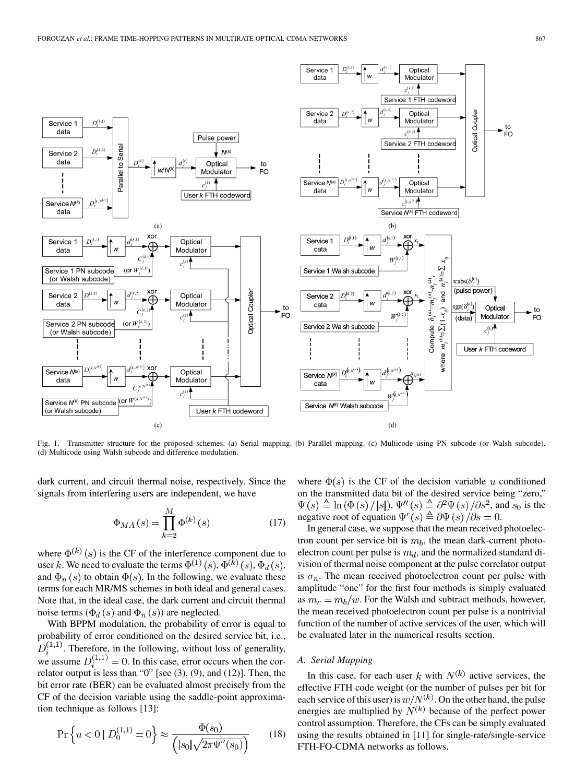

Fig. 1. Transmitter structure for the proposed schemes. (a) Serial mapping. (b) Parallel mapping. (c) Multicode using PN subcode (or Walsh subcode). (d) Multicode using Walsh subcode and difference modulation.

dark current, and circuit thermal noise, respectively. Since the signals from interfering users are independent, we have

$$
\Phi_{MA}(s) = \prod_{k=2}^{M} \Phi^{(k)}(s)
$$
\n(17)

where  $\Phi^{(k)}(s)$  is the CF of the interference component due to user k. We need to evaluate the terms  $\Phi^{(1)}(s), \Phi^{(k)}(s), \Phi_d(s),$ and  $\Phi_n(s)$  to obtain  $\Phi(s)$ . In the following, we evaluate these terms for each MR/MS schemes in both ideal and general cases. Note that, in the ideal case, the dark current and circuit thermal noise terms  $(\Phi_d(s)$  and  $\Phi_n(s)$  are neglected.

With BPPM modulation, the probability of error is equal to probability of error conditioned on the desired service bit, i.e.,  $D_i^{(1,1)}$ . Therefore, in the following, without loss of generality, we assume  $D_i^{(1,1)} = 0$ . In this case, error occurs when the correlator output is less than " $0$ " [see (3), (9), and (12)]. Then, the bit error rate (BER) can be evaluated almost precisely from the CF of the decision variable using the saddle-point approximation technique as follows [[13\]](#page-11-0):

$$
\Pr\left\{u < 0 \mid D_0^{(1,1)} = 0\right\} \approx \frac{\Phi(s_0)}{\left(|s_0| \sqrt{2\pi \Psi''(s_0)}\right)}\tag{18}
$$

where  $\Phi(s)$  is the CF of the decision variable u conditioned on the transmitted data bit of the desired service being "zero,"  $\Psi(s) \triangleq \ln(\Phi(s)/|s|), \Psi''(s) \triangleq \partial^2 \Psi(s)/\partial s^2$ , and  $s_0$  is the negative root of equation  $\Psi'(s) \triangleq \partial \Psi(s)/\partial s = 0$ .

In general case, we suppose that the mean received photoelectron count per service bit is  $m_b$ , the mean dark-current photoelectron count per pulse is  $m_d$ , and the normalized standard division of thermal noise component at the pulse correlator output is  $\sigma_n$ . The mean received photoelectron count per pulse with amplitude "one" for the first four methods is simply evaluated as  $m_r = m_b/w$ . For the Walsh and subtract methods, however, the mean received photoelectron count per pulse is a nontrivial function of the number of active services of the user, which will be evaluated later in the numerical results section.

#### *A. Serial Mapping*

In this case, for each user k with  $N^{(k)}$  active services, the effective FTH code weight (or the number of pulses per bit for each service of this user) is  $w/N^{(k)}$ . On the other hand, the pulse energies are multiplied by  $N^{(k)}$  because of the perfect power control assumption. Therefore, the CFs can be simply evaluated using the results obtained in [\[11](#page-11-0)] for single-rate/single-service FTH-FO-CDMA networks as follows.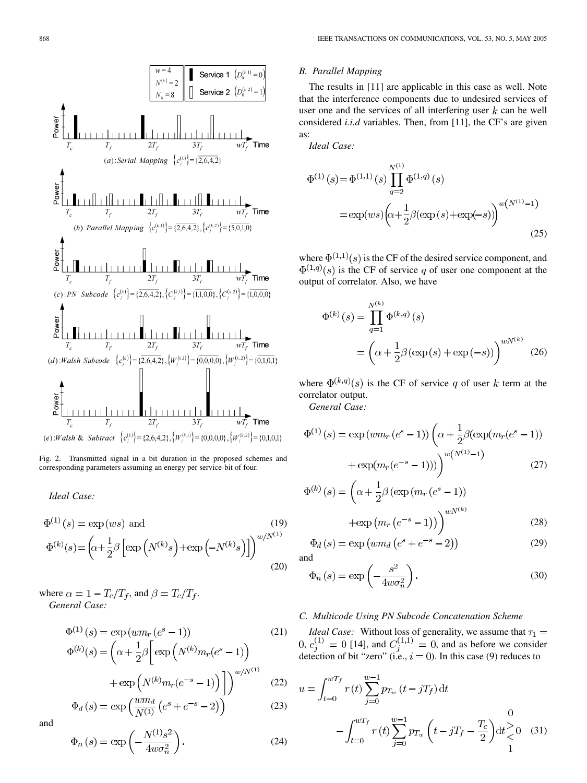

Fig. 2. Transmitted signal in a bit duration in the proposed schemes and corresponding parameters assuming an energy per service-bit of four.

*Ideal Case:*

and

$$
\Phi^{(1)}(s) = \exp(ws) \text{ and } (19)
$$
  

$$
\Phi^{(k)}(s) = \left(\alpha + \frac{1}{2}\beta \left[\exp\left(N^{(k)}s\right) + \exp\left(-N^{(k)}s\right)\right]\right)^{w/N^{(1)}}
$$
  
(20)

where  $\alpha = 1 - T_c/T_f$ , and  $\beta = T_c/T_f$ . *General Case:*

$$
\Phi^{(1)}(s) = \exp(w m_r (e^s - 1))
$$
\n
$$
\Phi^{(k)}(s) = \left(\alpha + \frac{1}{2}\beta \left[\exp\left(N^{(k)} m_r (e^s - 1)\right)\right] + \exp\left(N^{(k)} m_r (e^{-s} - 1)\right)\right]^{w/N^{(1)}}
$$
\n(22)

$$
+\exp\left(\frac{N^{3/2}m_r(e^2-1)}{2}\right)\right) \tag{22}
$$

$$
\Phi_d(s) = \exp\left(\frac{um_d}{N^{(1)}}\left(e^s + e^{-s} - 2\right)\right) \tag{23}
$$

$$
\Phi_n(s) = \exp\left(-\frac{N^{(1)}s^2}{4w\sigma_n^2}\right).
$$
\n(24)

# *B. Parallel Mapping*

The results in [[11\]](#page-11-0) are applicable in this case as well. Note that the interference components due to undesired services of user one and the services of all interfering user  $k$  can be well considered *i.i.d* variables. Then, from [\[11](#page-11-0)], the CF's are given as:

*Ideal Case:*

$$
\Phi^{(1)}(s) = \Phi^{(1,1)}(s) \prod_{q=2}^{N^{(1)}} \Phi^{(1,q)}(s)
$$
  
= exp(ws)  $\left(\alpha + \frac{1}{2}\beta(\exp(s) + \exp(-s))\right)^{w(N^{(1)}-1)}$  (25)

where  $\Phi^{(1,1)}(s)$  is the CF of the desired service component, and  $\Phi^{(1,q)}(s)$  is the CF of service q of user one component at the output of correlator. Also, we have

$$
\Phi^{(k)}(s) = \prod_{q=1}^{N^{(k)}} \Phi^{(k,q)}(s)
$$

$$
= \left(\alpha + \frac{1}{2}\beta(\exp(s) + \exp(-s))\right)^{wN^{(k)}} (26)
$$

where  $\Phi^{(k,q)}(s)$  is the CF of service q of user k term at the correlator output.

*General Case:*

$$
\Phi^{(1)}(s) = \exp(w m_r (e^s - 1)) \left( \alpha + \frac{1}{2} \beta (\exp(m_r (e^s - 1)) + \exp(m_r (e^{-s} - 1))) \right)^{w(N^{(1)} - 1)}
$$
\n(27)

$$
\Phi^{(k)}(s) = \left(\alpha + \frac{1}{2}\beta \left(\exp\left(m_r\left(e^s - 1\right)\right)\right) + \exp\left(m_r\left(e^{-s} - 1\right)\right)\right)^{wN^{(k)}}\tag{28}
$$

$$
\Phi_d(s) = \exp\left(w m_d \left(e^s + e^{-s} - 2\right)\right) \tag{29}
$$

and

$$
\Phi_n(s) = \exp\left(-\frac{s^2}{4w\sigma_n^2}\right). \tag{30}
$$

# *C. Multicode Using PN Subcode Concatenation Scheme*

*Ideal Case:* Without loss of generality, we assume that ,  $c_i^{(1)} = 0$  [\[14](#page-11-0)], and  $C_i^{(1,1)} = 0$ , and as before we consider detection of bit "zero" (i.e.,  $i = 0$ ). In this case (9) reduces to

$$
u = \int_{t=0}^{wT_f} r(t) \sum_{j=0}^{w-1} p_{T_w}(t - jT_f) dt
$$
  

$$
- \int_{t=0}^{wT_f} r(t) \sum_{j=0}^{w-1} p_{T_w}\left(t - jT_f - \frac{T_c}{2}\right) dt \begin{cases} 0\\ 0\\ 1 \end{cases}
$$
(31)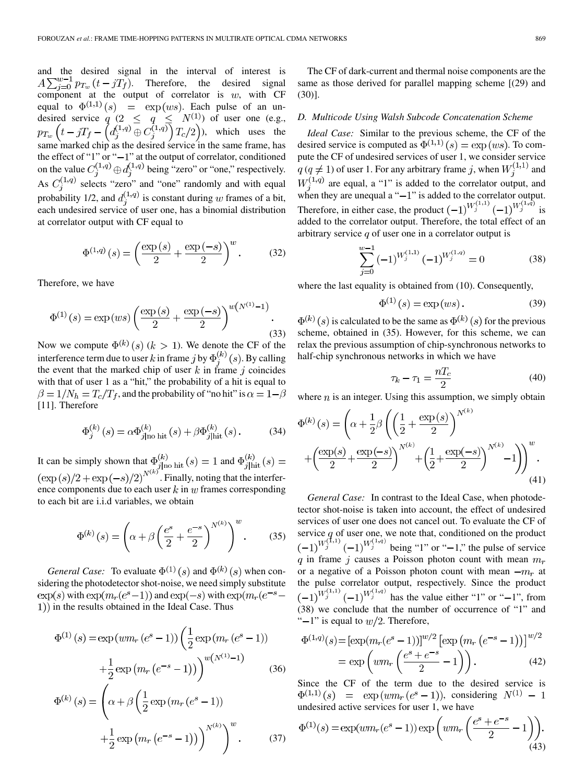and the desired signal in the interval of interest is  $A\sum_{i=0}^{w-1}p_{T_w}(t-jT_f)$ . Therefore, the desired signal component at the output of correlator is  $w$ , with CF equal to  $\Phi^{(1,1)}(s)$  =  $\exp(ws)$ . Each pulse of an undesired service  $q (2 \leq q \leq N^{(1)})$  of user one (e.g., ), which uses the same marked chip as the desired service in the same frame, has the effect of "1" or " $-1$ " at the output of correlator, conditioned on the value  $C_i^{(1)} \oplus d_i^{(1)}$  being "zero" or "one," respectively. As  $C_i^{(1,q)}$  selects "zero" and "one" randomly and with equal probability 1/2, and  $d_i^{(1,q)}$  is constant during w frames of a bit, each undesired service of user one, has a binomial distribution at correlator output with CF equal to

$$
\Phi^{(1,q)}(s) = \left(\frac{\exp(s)}{2} + \frac{\exp(-s)}{2}\right)^w.
$$
 (32)

Therefore, we have

$$
\Phi^{(1)}(s) = \exp(ws) \left( \frac{\exp(s)}{2} + \frac{\exp(-s)}{2} \right)^{w(N^{(1)}-1)}.
$$
\n(33)

Now we compute  $\Phi^{(k)}(s)$  ( $k > 1$ ). We denote the CF of the interference term due to user k in frame j by  $\Phi_j^{(k)}(s)$ . By calling the event that the marked chip of user  $k$  in frame  $j$  coincides with that of user 1 as a "hit," the probability of a hit is equal to  $\beta = 1/N_h = T_c/T_f$ , and the probability of "no hit" is  $\alpha = 1-\beta$ [\[11](#page-11-0)]. Therefore

$$
\Phi_j^{(k)}(s) = \alpha \Phi_{j|\text{no hit}}^{(k)}(s) + \beta \Phi_{j|\text{hit}}^{(k)}(s). \tag{34}
$$

It can be simply shown that  $\Phi_{\text{alno bit}}^{(k)}(s) = 1$  and . Finally, noting that the interference components due to each user  $k$  in  $w$  frames corresponding to each bit are i.i.d variables, we obtain

$$
\Phi^{(k)}\left(s\right) = \left(\alpha + \beta \left(\frac{e^s}{2} + \frac{e^{-s}}{2}\right)^{N^{(k)}}\right)^w.\tag{35}
$$

*General Case:* To evaluate  $\Phi^{(1)}(s)$  and  $\Phi^{(k)}(s)$  when considering the photodetector shot-noise, we need simply substitute  $\exp(s)$  with  $\exp(m_r(e^s-1))$  and  $\exp(-s)$  with  $\exp(m_r(e^{-s}-$ 1) in the results obtained in the Ideal Case. Thus

$$
\Phi^{(1)}(s) = \exp(wm_r (e^s - 1)) \left(\frac{1}{2} \exp(m_r (e^s - 1)) + \frac{1}{2} \exp(m_r (e^{-s} - 1))\right)^{w(N^{(1)} - 1)}
$$
(36)

$$
\Phi^{(k)}(s) = \left(\alpha + \beta \left(\frac{1}{2} \exp\left(m_r \left(e^s - 1\right)\right)\right.\right.\right.\left.\left.\left.+\frac{1}{2} \exp\left(m_r \left(e^{-s} - 1\right)\right)\right)^{N^{(k)}}\right)^w.
$$
\n(37)

The CF of dark-current and thermal noise components are the same as those derived for parallel mapping scheme [(29) and (30)].

## *D. Multicode Using Walsh Subcode Concatenation Scheme*

*Ideal Case:* Similar to the previous scheme, the CF of the desired service is computed as  $\Phi^{(1,1)}(s) = \exp(ws)$ . To compute the CF of undesired services of user 1, we consider service  $q (q \neq 1)$  of user 1. For any arbitrary frame j, when  $W_j^{(1,1)}$  and  $W_i^{(1,q)}$  are equal, a "1" is added to the correlator output, and when they are unequal a " $-1$ " is added to the correlator output. Therefore, in either case, the product  $(-1)^{W_j}$   $(-1)^{W_j}$  is added to the correlator output. Therefore, the total effect of an arbitrary service  $q$  of user one in a correlator output is

$$
\sum_{j=0}^{w-1} (-1)^{W_j^{(1,1)}} (-1)^{W_j^{(1,q)}} = 0 \tag{38}
$$

where the last equality is obtained from (10). Consequently,

$$
\Phi^{(1)}(s) = \exp(ws). \tag{39}
$$

 $\Phi^{(k)}(s)$  is calculated to be the same as  $\Phi^{(k)}(s)$  for the previous scheme, obtained in (35). However, for this scheme, we can relax the previous assumption of chip-synchronous networks to half-chip synchronous networks in which we have

$$
\tau_k - \tau_1 = \frac{nT_c}{2} \tag{40}
$$

where  $n$  is an integer. Using this assumption, we simply obtain

$$
\Phi^{(k)}(s) = \left(\alpha + \frac{1}{2}\beta \left( \left(\frac{1}{2} + \frac{\exp(s)}{2}\right)^{N^{(k)}} + \left(\frac{\exp(s)}{2} + \frac{\exp(s)}{2}\right)^{N^{(k)}} + \left(\frac{1}{2} + \frac{\exp(-s)}{2}\right)^{N^{(k)}} - 1 \right) \right)_{(41)}^w
$$

*General Case:* In contrast to the Ideal Case, when photodetector shot-noise is taken into account, the effect of undesired services of user one does not cancel out. To evaluate the CF of service  $q$  of user one, we note that, conditioned on the product  $(-1)^{W_j^{(1,1)}} (-1)^{W_j^{(1,q)}}$  being "1" or "-1," the pulse of service q in frame j causes a Poisson photon count with mean  $m_r$ or a negative of a Poisson photon count with mean  $-m_r$  at the pulse correlator output, respectively. Since the product  $(-1)^{W_j^{(1,1)}} (-1)^{W_j^{(1,q)}}$  has the value either "1" or "-1", from (38) we conclude that the number of occurrence of "1" and " $-1$ " is equal to  $w/2$ . Therefore,

$$
\Phi^{(1,q)}(s) = [\exp(m_r(e^s - 1))]^{w/2} [\exp(m_r(e^{-s} - 1))]^{w/2}
$$
  
=  $\exp\left(wm_r\left(\frac{e^s + e^{-s}}{2} - 1\right)\right).$  (42)

Since the CF of the term due to the desired service is  $\Phi^{(1,1)}(s) = \exp(w m_r (e^s - 1))$ , considering  $N^{(1)} - 1$ undesired active services for user 1, we have

$$
\Phi^{(1)}(s) = \exp(wm_r(e^s - 1)) \exp\left( w m_r \left( \frac{e^s + e^{-s}}{2} - 1 \right) \right).
$$
\n(43)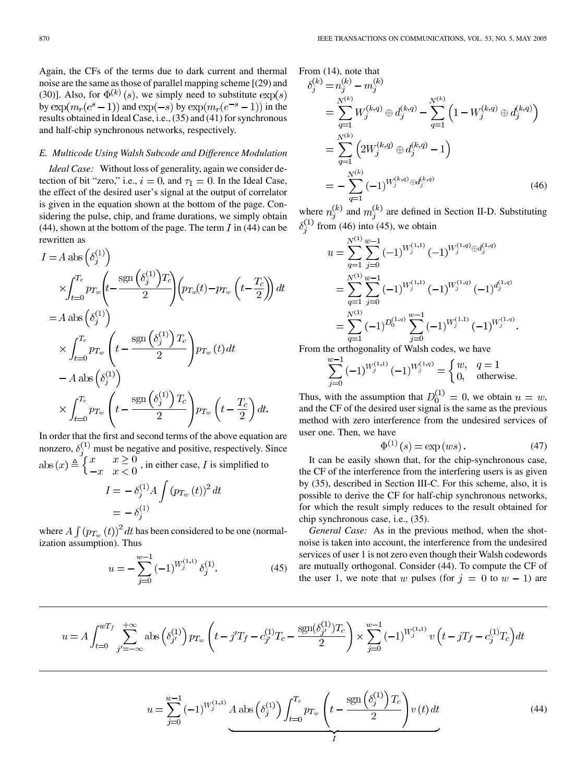Again, the CFs of the terms due to dark current and thermal noise are the same as those of parallel mapping scheme [(29) and (30)]. Also, for  $\Phi^{(k)}(s)$ , we simply need to substitute  $\exp(s)$ by  $\exp(m_r(e^s-1))$  and  $\exp(-s)$  by  $\exp(m_r(e^{-s}-1))$  in the results obtained in Ideal Case, i.e., (35) and (41) for synchronous and half-chip synchronous networks, respectively.

# *E. Multicode Using Walsh Subcode and Difference Modulation*

*Ideal Case:* Without loss of generality, again we consider detection of bit "zero," i.e.,  $i = 0$ , and  $\tau_1 = 0$ . In the Ideal Case, the effect of the desired user's signal at the output of correlator is given in the equation shown at the bottom of the page. Considering the pulse, chip, and frame durations, we simply obtain (44), shown at the bottom of the page. The term  $I$  in (44) can be rewritten as

$$
I = A \text{ abs}\left(\delta_j^{(1)}\right)
$$
  
\n
$$
\times \int_{t=0}^{T_c} p_{T_w} \left(t - \frac{\text{sgn}\left(\delta_j^{(1)}\right) T_c}{2}\right) \left(p_{T_w}(t) - p_{T_w}\left(t - \frac{T_c}{2}\right)\right) dt
$$
  
\n
$$
= A \text{ abs}\left(\delta_j^{(1)}\right)
$$
  
\n
$$
\times \int_{t=0}^{T_c} p_{T_w} \left(t - \frac{\text{sgn}\left(\delta_j^{(1)}\right) T_c}{2}\right) p_{T_w}(t) dt
$$
  
\n
$$
- A \text{ abs}\left(\delta_j^{(1)}\right)
$$
  
\n
$$
\times \int_{t=0}^{T_c} p_{T_w} \left(t - \frac{\text{sgn}\left(\delta_j^{(1)}\right) T_c}{2}\right) p_{T_w}\left(t - \frac{T_c}{2}\right) dt.
$$

In order that the first and second terms of the above equation are nonzero,  $\delta_i^{(1)}$  must be negative and positive, respectively. Since abs  $(x) \triangleq \begin{cases} x & x \ge 0 \\ -x & x < 0 \end{cases}$ , in either case, I is simplified to  $I = -\delta_j^{(1)} A \int (p_{T_w}(t))^2 dt$  $= - \delta_i^{(1)}$ 

where  $A \int (p_{T_w}(t))^2 dt$  has been considered to be one (normalization assumption). Thus

$$
u = -\sum_{j=0}^{w-1} (-1)^{W_j^{(1,1)}} \delta_j^{(1)}.
$$
 (45)

From (14), note that

$$
\delta_j^{(k)} = n_j^{(k)} - m_j^{(k)}
$$
\n
$$
= \sum_{q=1}^{N^{(k)}} W_j^{(k,q)} \oplus d_j^{(k,q)} - \sum_{q=1}^{N^{(k)}} \left(1 - W_j^{(k,q)} \oplus d_j^{(k,q)}\right)
$$
\n
$$
= \sum_{q=1}^{N^{(k)}} \left(2W_j^{(k,q)} \oplus d_j^{(k,q)} - 1\right)
$$
\n
$$
= -\sum_{q=1}^{N^{(k)}} (-1)^{W_j^{(k,q)} \oplus d_j^{(k,q)}}
$$
\n(46)

where  $n_j^{(k)}$  and  $m_j^{(k)}$  are defined in Section II-D. Substituting  $\delta_i^{(1)}$  from (46) into (45), we obtain

$$
u = \sum_{q=1}^{N^{(1)}} \sum_{j=0}^{w-1} (-1)^{W_j^{(1,1)}} (-1)^{W_j^{(1,q)} \oplus d_j^{(1,q)}} = \sum_{q=1}^{N^{(1)}} \sum_{j=0}^{w-1} (-1)^{W_j^{(1,1)}} (-1)^{W_j^{(1,q)}} (-1)^{d_j^{(1,q)}} = \sum_{q=1}^{N^{(1)}} (-1)^{D_0^{(1,q)}} \sum_{j=0}^{w-1} (-1)^{W_j^{(1,1)}} (-1)^{W_j^{(1,q)}}.
$$

From the orthogonality of Walsh codes, we have

$$
\sum_{j=0}^{w-1} (-1)^{W_j^{(1,1)}} (-1)^{W_j^{(1,q)}} = \begin{cases} w, & q = 1\\ 0, & \text{otherwise.} \end{cases}
$$

Thus, with the assumption that  $D_0^{(1)} = 0$ , we obtain  $u = w$ , and the CF of the desired user signal is the same as the previous method with zero interference from the undesired services of user one. Then, we have

$$
\Phi^{(1)}(s) = \exp(ws). \tag{47}
$$

It can be easily shown that, for the chip-synchronous case, the CF of the interference from the interfering users is as given by (35), described in Section III-C. For this scheme, also, it is possible to derive the CF for half-chip synchronous networks, for which the result simply reduces to the result obtained for chip synchronous case, i.e., (35).

*General Case:* As in the previous method, when the shotnoise is taken into account, the interference from the undesired services of user 1 is not zero even though their Walsh codewords are mutually orthogonal. Consider (44). To compute the CF of the user 1, we note that w pulses (for  $j = 0$  to  $w - 1$ ) are

$$
u = A \int_{t=0}^{wT_f} \sum_{j'=-\infty}^{+\infty} \text{abs} \left( \delta_{j'}^{(1)} \right) p_{T_w} \left( t - j' T_f - c_{j'}^{(1)} T_c - \frac{\text{sgn}(\delta_{j'}^{(1)}) T_c}{2} \right) \times \sum_{j=0}^{w-1} (-1)^{W_j^{(1,1)}} v \left( t - j T_f - c_j^{(1)} T_c \right) dt
$$

$$
u = \sum_{j=0}^{w-1} (-1)^{W_j^{(1,1)}} A \operatorname{abs}\left(\delta_j^{(1)}\right) \int_{t=0}^{T_c} p_{T_w} \left(t - \frac{\operatorname{sgn}\left(\delta_j^{(1)}\right) T_c}{2}\right) v(t) dt \tag{44}
$$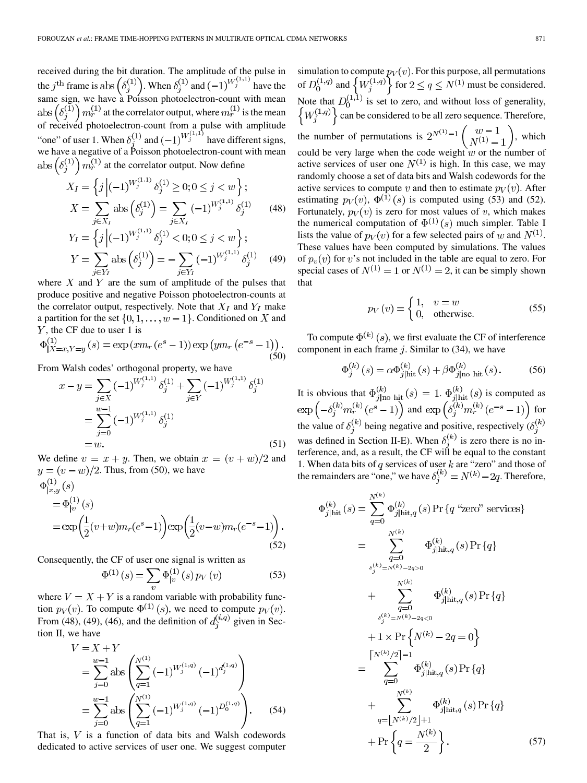received during the bit duration. The amplitude of the pulse in the  $j^{\text{th}}$  frame is abs  $(\delta_j^{\{1\}})$ . When  $\delta_j^{\{1\}}$  and  $(-1)^{W_j}$  have the same sign, we have a Poisson photoelectron-count with mean at the correlator output, where  $m_r^{(1)}$  is the mean of received photoelectron-count from a pulse with amplitude "one" of user 1. When  $\delta_i^{(1)}$  and  $(-1)^{W_i}$  have different signs, we have a negative of a Poisson photoelectron-count with mean abs  $(\delta_i^{(1)})$   $m_r^{(1)}$  at the correlator output. Now define

$$
X_I = \left\{ j \middle| (-1)^{W_j^{(1,1)}} \delta_j^{(1)} \ge 0; 0 \le j < w \right\};
$$
\n
$$
X = \sum_{j \in X_I} \text{abs} \left( \delta_j^{(1)} \right) = \sum_{j \in X_I} (-1)^{W_j^{(1,1)}} \delta_j^{(1)} \tag{48}
$$

$$
Y_I = \left\{ j \middle| (-1)^{W_j^{(1,1)}} \delta_j^{(1)} < 0; 0 \le j < w \right\};
$$
\n
$$
Y = \sum_{j \in Y_I} \text{abs} \left( \delta_j^{(1)} \right) = - \sum_{j \in Y_I} (-1)^{W_j^{(1,1)}} \delta_j^{(1)} \tag{49}
$$

where  $X$  and  $Y$  are the sum of amplitude of the pulses that produce positive and negative Poisson photoelectron-counts at the correlator output, respectively. Note that  $X_I$  and  $Y_I$  make a partition for the set  $\{0, 1, \ldots, w-1\}$ . Conditioned on X and  $Y$ , the CF due to user 1 is

$$
\Phi_{|X=x,Y=y}^{(1)}(s) = \exp(x m_r (e^s - 1)) \exp(y m_r (e^{-s} - 1)).
$$
\n(50)

From Walsh codes' orthogonal property, we have

$$
x - y = \sum_{j \in X} (-1)^{W_j^{(1,1)}} \delta_j^{(1)} + \sum_{j \in Y} (-1)^{W_j^{(1,1)}} \delta_j^{(1)}
$$
  
= 
$$
\sum_{j=0}^{w-1} (-1)^{W_j^{(1,1)}} \delta_j^{(1)}
$$
  
= w. (51)

We define  $v = x + y$ . Then, we obtain  $x = (v + w)/2$  and  $y = (v - w)/2$ . Thus, from (50), we have  $y = (v -$ <br> $\Phi^{(1)}_{x,y}(s)$ 

$$
\begin{aligned} &x_{xy}(s) \\ &= \Phi_{|v}^{(1)}(s) \\ &= \exp\left(\frac{1}{2}(v+w)m_r(e^s-1)\right) \exp\left(\frac{1}{2}(v-w)m_r(e^{-s}-1)\right). \end{aligned} \tag{52}
$$

Consequently, the CF of user one signal is written as

$$
\Phi^{(1)}(s) = \sum_{v} \Phi_{|v}^{(1)}(s) p_V(v)
$$
\n(53)

where  $V = X + Y$  is a random variable with probability function  $p_V(v)$ . To compute  $\Phi^{(1)}(s)$ , we need to compute  $p_V(v)$ . From (48), (49), (46), and the definition of  $d_i^{(i,q)}$  given in Section II, we have

$$
V = X + Y
$$
  
=  $\sum_{j=0}^{w-1} \text{abs} \left( \sum_{q=1}^{N^{(1)}} (-1)^{W_j^{(1,q)}} (-1)^{d_j^{(1,q)}} \right)$   
=  $\sum_{j=0}^{w-1} \text{abs} \left( \sum_{q=1}^{N^{(1)}} (-1)^{W_j^{(1,q)}} (-1)^{D_0^{(1,q)}} \right)$ . (54)

That is,  $V$  is a function of data bits and Walsh codewords dedicated to active services of user one. We suggest computer simulation to compute  $p_V(v)$ . For this purpose, all permutations of  $D_0^{(1,q)}$  and  $\{W_i^{(1,q)}\}\$  for  $2 \le q \le N^{(1)}$  must be considered. Note that  $D_0^{(1,1)}$  is set to zero, and without loss of generality,  $\left\{W_j^{(1,q)}\right\}$  can be considered to be all zero sequence. Therefore, the number of permutations is  $2^{N^{(1)}-1} \binom{w-1}{N^{(1)}-1}$ , which could be very large when the code weight  $w$  or the number of active services of user one  $N^{(1)}$  is high. In this case, we may randomly choose a set of data bits and Walsh codewords for the active services to compute v and then to estimate  $p_V(v)$ . After estimating  $p_V(v)$ ,  $\Phi^{(1)}(s)$  is computed using (53) and (52). Fortunately,  $p_V(v)$  is zero for most values of v, which makes the numerical computation of  $\Phi^{(1)}(s)$  much simpler. Table I lists the value of  $p_V(v)$  for a few selected pairs of w and  $N^{(1)}$ . These values have been computed by simulations. The values of  $p_v(v)$  for v's not included in the table are equal to zero. For special cases of  $N^{(1)} = 1$  or  $N^{(1)} = 2$ , it can be simply shown that

$$
p_V(v) = \begin{cases} 1, & v = w \\ 0, & \text{otherwise.} \end{cases}
$$
 (55)

To compute  $\Phi^{(k)}(s)$ , we first evaluate the CF of interference component in each frame  $i$ . Similar to (34), we have

$$
\Phi_j^{(k)}(s) = \alpha \Phi_{j|\text{hit}}^{(k)}(s) + \beta \Phi_{j|\text{no hit}}^{(k)}(s). \tag{56}
$$

It is obvious that  $\Phi_{\text{ilm bit}}^{(k)}(s) = 1$ .  $\Phi_{\text{ilbit}}^{(k)}(s)$  is computed as and  $\exp\left(\delta_i^{(\kappa)} m_r^{(\kappa)}(e^{-s}-1)\right)$  for the value of  $\delta_j^{(k)}$  being negative and positive, respectively  $(\delta_j^{(k)})$ was defined in Section II-E). When  $\delta_i^{(k)}$  is zero there is no interference, and, as a result, the CF will be equal to the constant 1. When data bits of q services of user k are "zero" and those of the remainders are "one," we have  $\delta_i^{(k)} = N^{(k)} - 2q$ . Therefore,

$$
\Phi_{j|\text{hit}}^{(k)}(s) = \sum_{q=0}^{N^{(k)}} \Phi_{j|\text{hit},q}^{(k)}(s) \Pr\{q \text{ "zero" services}\}\n= \sum_{q=0}^{N^{(k)}} \Phi_{j|\text{hit},q}^{(k)}(s) \Pr\{q\}\n+ \sum_{q=0}^{N^{(k)}} \Phi_{j|\text{hit},q}^{(k)}(s) \Pr\{q\}\n+ 1 \sum_{q=0}^{N^{(k)}} \Phi_{j|\text{hit},q}^{(k)}(s) \Pr\{q\}\n+ 1 \times \Pr\left\{N^{(k)} - 2q = 0\right\}\n= \sum_{q=0}^{N^{(k)}/2} \Phi_{j|\text{hit},q}^{(k)}(s) \Pr\{q\}\n+ \sum_{q=\lfloor N^{(k)}/2\rfloor+1}^{N^{(k)}} \Phi_{j|\text{hit},q}^{(k)}(s) \Pr\{q\}\n+ \Pr\left\{q = \frac{N^{(k)}}{2}\right\}.
$$
\n(57)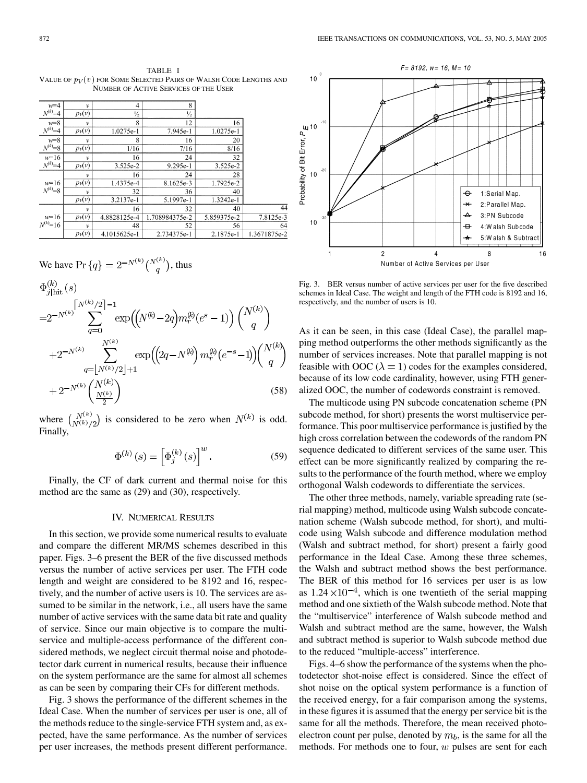TABLE I VALUE OF  $p_V(v)$  for Some Selected Pairs of Walsh Code Lengths and NUMBER OF ACTIVE SERVICES OF THE USER

| $w=4$         | v             | 4            | 8              |             |              |
|---------------|---------------|--------------|----------------|-------------|--------------|
| $N^{(k)} = 4$ | $p_V(v)$      | 1/2          | $\frac{1}{2}$  |             |              |
| $w=8$         | $\mathcal V$  | 8            | 12             | 16          |              |
| $N^{(k)}=4$   | $p_i(v)$      | 1.0275e-1    | 7.945e-1       | 1.0275e-1   |              |
| $w=8$         | $\mathbf{v}$  | 8            | 16             | 20          |              |
| $N^{(k)}=8$   | $p_v(v)$      | 1/16         | 7/16           | 8/16        |              |
| $w=16$        | $\mathcal V$  | 16           | 24             | 32          |              |
| $N^{(k)} = 4$ | $p_v(v)$      | 3.525e-2     | 9.295e-1       | 3.525e-2    |              |
|               | v             | 16           | 24             | 28          |              |
| $w=16$        | $p_v(v)$      | 1.4375e-4    | 8.1625e-3      | 1.7925e-2   |              |
| $N^{(k)} = 8$ | $\mathcal{V}$ | 32           | 36             | 40          |              |
|               | $p_i(v)$      | 3.2137e-1    | 5.1997e-1      | 1.3242e-1   |              |
|               | $\mathcal{V}$ | 16           | 32             | 40          | 44           |
| $w=16$        | $p_v(v)$      | 4.8828125e-4 | 1.708984375e-2 | 5.859375e-2 | 7.8125e-3    |
| $N^{(k)}=16$  | v             | 48           | 52             | 56          | 64           |
|               | $p_v(v)$      | 4.1015625e-1 | 2.734375e-1    | 2.1875e-1   | 1.3671875e-2 |

We have  $Pr\{q\} = 2^{-N^{(k)}} {N^{(k)}_q}$ , thus

$$
\Phi_{j|\text{hit}}^{(k)}(s)
$$
\n
$$
=2^{-N^{(k)}}\sum_{q=0}^{\lceil N^{(k)}/2 \rceil-1} \exp\left(\left(N^{(k)}-2q\right)m_r^{(k)}(e^s-1)\right)\binom{N^{(k)}}{q}
$$
\n
$$
+2^{-N^{(k)}}\sum_{q=\lfloor N^{(k)}/2 \rfloor+1}^{N^{(k)}} \exp\left(\left(2q-N^{(k)}\right)m_r^{(k)}(e^{-s}-1)\right)\binom{N^{(k)}}{q}
$$
\n
$$
+2^{-N^{(k)}}\binom{N^{(k)}}{2}
$$
\n(58)

where  $\binom{N^{(k)}}{N^{(k)}/2}$  is considered to be zero when  $N^{(k)}$  is odd. Finally,

$$
\Phi^{(k)}(s) = \left[\Phi_j^{(k)}(s)\right]^w.
$$
\n(59)

Finally, the CF of dark current and thermal noise for this method are the same as (29) and (30), respectively.

## IV. NUMERICAL RESULTS

In this section, we provide some numerical results to evaluate and compare the different MR/MS schemes described in this paper. Figs. 3–6 present the BER of the five discussed methods versus the number of active services per user. The FTH code length and weight are considered to be 8192 and 16, respectively, and the number of active users is 10. The services are assumed to be similar in the network, i.e., all users have the same number of active services with the same data bit rate and quality of service. Since our main objective is to compare the multiservice and multiple-access performance of the different considered methods, we neglect circuit thermal noise and photodetector dark current in numerical results, because their influence on the system performance are the same for almost all schemes as can be seen by comparing their CFs for different methods.

Fig. 3 shows the performance of the different schemes in the Ideal Case. When the number of services per user is one, all of the methods reduce to the single-service FTH system and, as expected, have the same performance. As the number of services per user increases, the methods present different performance.



Fig. 3. BER versus number of active services per user for the five described schemes in Ideal Case. The weight and length of the FTH code is 8192 and 16, respectively, and the number of users is 10.

As it can be seen, in this case (Ideal Case), the parallel mapping method outperforms the other methods significantly as the number of services increases. Note that parallel mapping is not feasible with OOC ( $\lambda = 1$ ) codes for the examples considered, because of its low code cardinality, however, using FTH generalized OOC, the number of codewords constraint is removed.

The multicode using PN subcode concatenation scheme (PN subcode method, for short) presents the worst multiservice performance. This poor multiservice performance is justified by the high cross correlation between the codewords of the random PN sequence dedicated to different services of the same user. This effect can be more significantly realized by comparing the results to the performance of the fourth method, where we employ orthogonal Walsh codewords to differentiate the services.

The other three methods, namely, variable spreading rate (serial mapping) method, multicode using Walsh subcode concatenation scheme (Walsh subcode method, for short), and multicode using Walsh subcode and difference modulation method (Walsh and subtract method, for short) present a fairly good performance in the Ideal Case. Among these three schemes, the Walsh and subtract method shows the best performance. The BER of this method for 16 services per user is as low as  $1.24 \times 10^{-4}$ , which is one twentieth of the serial mapping method and one sixtieth of the Walsh subcode method. Note that the "multiservice" interference of Walsh subcode method and Walsh and subtract method are the same, however, the Walsh and subtract method is superior to Walsh subcode method due to the reduced "multiple-access" interference.

Figs. 4–6 show the performance of the systems when the photodetector shot-noise effect is considered. Since the effect of shot noise on the optical system performance is a function of the received energy, for a fair comparison among the systems, in these figures it is assumed that the energy per service bit is the same for all the methods. Therefore, the mean received photoelectron count per pulse, denoted by  $m_b$ , is the same for all the methods. For methods one to four,  $w$  pulses are sent for each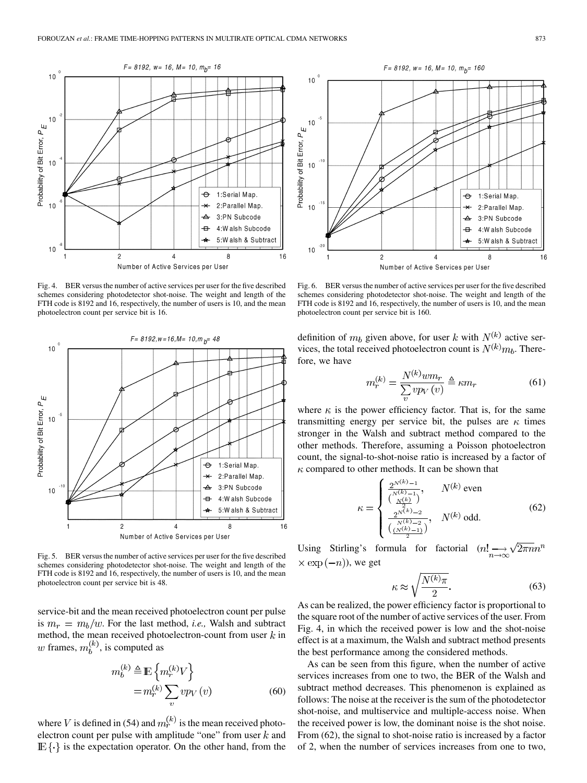

Fig. 4. BER versus the number of active services per user for the five described schemes considering photodetector shot-noise. The weight and length of the FTH code is 8192 and 16, respectively, the number of users is 10, and the mean photoelectron count per service bit is 16.



Fig. 5. BER versus the number of active services per user for the five described schemes considering photodetector shot-noise. The weight and length of the FTH code is 8192 and 16, respectively, the number of users is 10, and the mean photoelectron count per service bit is 48.

service-bit and the mean received photoelectron count per pulse is  $m_r = m_b/w$ . For the last method, *i.e.*, Walsh and subtract method, the mean received photoelectron-count from user  $k$  in w frames,  $m_h^{(k)}$ , is computed as

$$
m_b^{(k)} \triangleq \mathbb{E}\left\{m_r^{(k)}V\right\}
$$
  
=  $m_r^{(k)}\sum_v v_{p}^{(v)}$  (60)

where V is defined in (54) and  $m_r^{(k)}$  is the mean received photoelectron count per pulse with amplitude "one" from user  $k$  and  $\mathbb{E}\{\cdot\}$  is the expectation operator. On the other hand, from the



Fig. 6. BER versus the number of active services per user for the five described schemes considering photodetector shot-noise. The weight and length of the FTH code is 8192 and 16, respectively, the number of users is 10, and the mean photoelectron count per service bit is 160.

definition of  $m_b$  given above, for user k with  $N^{(k)}$  active services, the total received photoelectron count is  $N^{(k)}m_b$ . Therefore, we have

$$
m_r^{(k)} = \frac{N^{(k)} w m_r}{\sum_{r} v p_V(v)} \triangleq \kappa m_r \tag{61}
$$

where  $\kappa$  is the power efficiency factor. That is, for the same transmitting energy per service bit, the pulses are  $\kappa$  times stronger in the Walsh and subtract method compared to the other methods. Therefore, assuming a Poisson photoelectron count, the signal-to-shot-noise ratio is increased by a factor of  $\kappa$  compared to other methods. It can be shown that

$$
\kappa = \begin{cases} \frac{2^{N^{(k)} - 1}}{\binom{N^{(k)} - 1}{N^{(k)} - 1}}, & N^{(k)} \text{ even} \\ \frac{2^{N^{(k)} - 2}}{\binom{N^{(k)} - 2}{N^{(k)} - 1}}, & N^{(k)} \text{ odd.} \end{cases}
$$
(62)

Using Stirling's formula for factorial  $(n! \rightarrow \sqrt{2\pi n}n^n)$  $\times$  exp( $-n$ )), we get

$$
\kappa \approx \sqrt{\frac{N^{(k)}\pi}{2}}.\tag{63}
$$

As can be realized, the power efficiency factor is proportional to the square root of the number of active services of the user. From Fig. 4, in which the received power is low and the shot-noise effect is at a maximum, the Walsh and subtract method presents the best performance among the considered methods.

As can be seen from this figure, when the number of active services increases from one to two, the BER of the Walsh and subtract method decreases. This phenomenon is explained as follows: The noise at the receiver is the sum of the photodetector shot-noise, and multiservice and multiple-access noise. When the received power is low, the dominant noise is the shot noise. From (62), the signal to shot-noise ratio is increased by a factor of 2, when the number of services increases from one to two,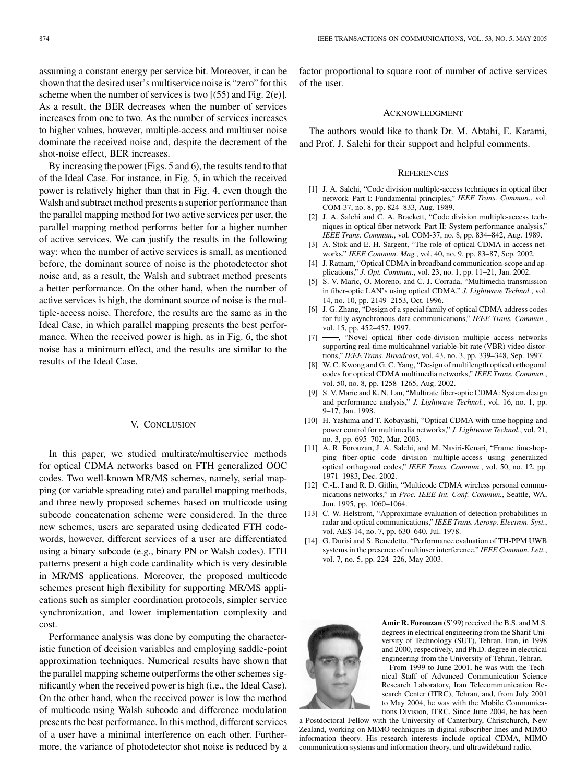<span id="page-11-0"></span>assuming a constant energy per service bit. Moreover, it can be shown that the desired user's multiservice noise is "zero" for this scheme when the number of services is two  $[(55)$  and Fig.  $2(e)$ ]. As a result, the BER decreases when the number of services increases from one to two. As the number of services increases to higher values, however, multiple-access and multiuser noise dominate the received noise and, despite the decrement of the shot-noise effect, BER increases.

By increasing the power (Figs. 5 and 6), the results tend to that of the Ideal Case. For instance, in Fig. 5, in which the received power is relatively higher than that in Fig. 4, even though the Walsh and subtract method presents a superior performance than the parallel mapping method for two active services per user, the parallel mapping method performs better for a higher number of active services. We can justify the results in the following way: when the number of active services is small, as mentioned before, the dominant source of noise is the photodetector shot noise and, as a result, the Walsh and subtract method presents a better performance. On the other hand, when the number of active services is high, the dominant source of noise is the multiple-access noise. Therefore, the results are the same as in the Ideal Case, in which parallel mapping presents the best performance. When the received power is high, as in Fig. 6, the shot noise has a minimum effect, and the results are similar to the results of the Ideal Case.

## V. CONCLUSION

In this paper, we studied multirate/multiservice methods for optical CDMA networks based on FTH generalized OOC codes. Two well-known MR/MS schemes, namely, serial mapping (or variable spreading rate) and parallel mapping methods, and three newly proposed schemes based on multicode using subcode concatenation scheme were considered. In the three new schemes, users are separated using dedicated FTH codewords, however, different services of a user are differentiated using a binary subcode (e.g., binary PN or Walsh codes). FTH patterns present a high code cardinality which is very desirable in MR/MS applications. Moreover, the proposed multicode schemes present high flexibility for supporting MR/MS applications such as simpler coordination protocols, simpler service synchronization, and lower implementation complexity and cost.

Performance analysis was done by computing the characteristic function of decision variables and employing saddle-point approximation techniques. Numerical results have shown that the parallel mapping scheme outperforms the other schemes significantly when the received power is high (i.e., the Ideal Case). On the other hand, when the received power is low the method of multicode using Walsh subcode and difference modulation presents the best performance. In this method, different services of a user have a minimal interference on each other. Furthermore, the variance of photodetector shot noise is reduced by a

factor proportional to square root of number of active services of the user.

#### ACKNOWLEDGMENT

The authors would like to thank Dr. M. Abtahi, E. Karami, and Prof. J. Salehi for their support and helpful comments.

#### **REFERENCES**

- [1] J. A. Salehi, "Code division multiple-access techniques in optical fiber network–Part I: Fundamental principles," *IEEE Trans. Commun.*, vol. COM-37, no. 8, pp. 824–833, Aug. 1989.
- [2] J. A. Salehi and C. A. Brackett, "Code division multiple-access techniques in optical fiber network–Part II: System performance analysis," *IEEE Trans. Commun.*, vol. COM-37, no. 8, pp. 834–842, Aug. 1989.
- [3] A. Stok and E. H. Sargent, "The role of optical CDMA in access networks," *IEEE Commun. Mag.*, vol. 40, no. 9, pp. 83–87, Sep. 2002.
- [4] J. Ratnam, "Optical CDMA in broadband communication-scope and applications," *J. Opt. Commun.*, vol. 23, no. 1, pp. 11–21, Jan. 2002.
- [5] S. V. Maric, O. Moreno, and C. J. Corrada, "Multimedia transmission in fiber-optic LAN's using optical CDMA," *J. Lightwave Technol.*, vol. 14, no. 10, pp. 2149–2153, Oct. 1996.
- [6] J. G. Zhang, "Design of a special family of optical CDMA address codes for fully asynchronous data communications," *IEEE Trans. Commun.*, vol. 15, pp. 452–457, 1997.
- [7] -, "Novel optical fiber code-division multiple access networks supporting real-time multicahnnel variable-bit-rate (VBR) video distortions," *IEEE Trans. Broadcast*, vol. 43, no. 3, pp. 339–348, Sep. 1997.
- [8] W. C. Kwong and G. C. Yang, "Design of multilength optical orthogonal codes for optical CDMA multimedia networks," *IEEE Trans. Commun.*, vol. 50, no. 8, pp. 1258–1265, Aug. 2002.
- [9] S. V. Maric and K. N. Lau, "Multirate fiber-optic CDMA: System design and performance analysis," *J. Lightwave Technol.*, vol. 16, no. 1, pp. 9–17, Jan. 1998.
- [10] H. Yashima and T. Kobayashi, "Optical CDMA with time hopping and power control for multimedia networks," *J. Lightwave Technol.*, vol. 21, no. 3, pp. 695–702, Mar. 2003.
- [11] A. R. Forouzan, J. A. Salehi, and M. Nasiri-Kenari, "Frame time-hopping fiber-optic code division multiple-access using generalized optical orthogonal codes," *IEEE Trans. Commun.*, vol. 50, no. 12, pp. 1971–1983, Dec. 2002.
- [12] C.-L. I and R. D. Gitlin, "Multicode CDMA wireless personal communications networks," in *Proc. IEEE Int. Conf. Commun.*, Seattle, WA, Jun. 1995, pp. 1060–1064.
- [13] C. W. Helstrom, "Approximate evaluation of detection probabilities in radar and optical communications," *IEEE Trans. Aerosp. Electron. Syst.*, vol. AES-14, no. 7, pp. 630–640, Jul. 1978.
- [14] G. Durisi and S. Benedetto, "Performance evaluation of TH-PPM UWB systems in the presence of multiuser interference," *IEEE Commun. Lett.*, vol. 7, no. 5, pp. 224–226, May 2003.



**Amir R. Forouzan** (S'99) received the B.S. and M.S. degrees in electrical engineering from the Sharif University of Technology (SUT), Tehran, Iran, in 1998 and 2000, respectively, and Ph.D. degree in electrical engineering from the University of Tehran, Tehran.

From 1999 to June 2001, he was with the Technical Staff of Advanced Communication Science Research Laboratory, Iran Telecommunication Research Center (ITRC), Tehran, and, from July 2001 to May 2004, he was with the Mobile Communications Division, ITRC. Since June 2004, he has been

a Postdoctoral Fellow with the University of Canterbury, Christchurch, New Zealand, working on MIMO techniques in digital subscriber lines and MIMO information theory. His research interests include optical CDMA, MIMO communication systems and information theory, and ultrawideband radio.